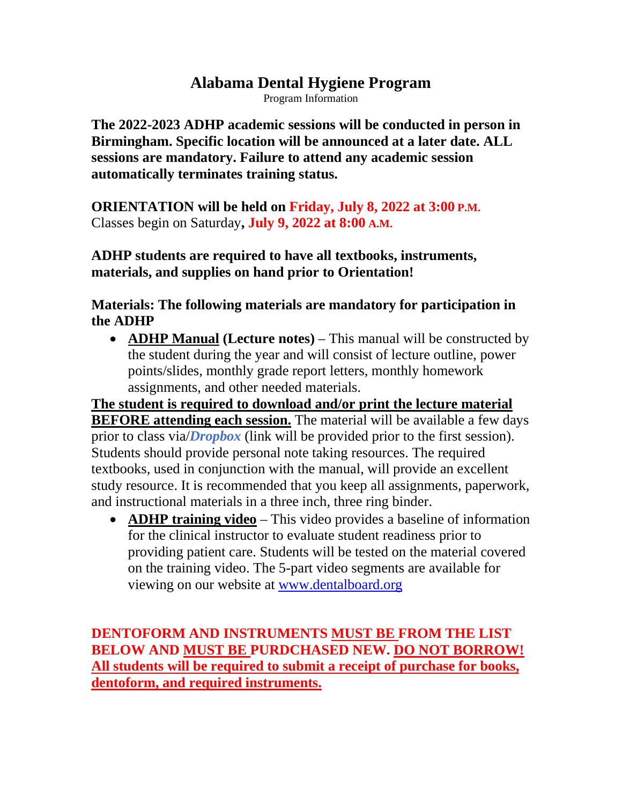# **Alabama Dental Hygiene Program**

Program Information

**The 2022-2023 ADHP academic sessions will be conducted in person in Birmingham. Specific location will be announced at a later date. ALL sessions are mandatory. Failure to attend any academic session automatically terminates training status.** 

**ORIENTATION will be held on Friday, July 8, 2022 at 3:00 P.M.** Classes begin on Saturday**, July 9, 2022 at 8:00 A.M.**

**ADHP students are required to have all textbooks, instruments, materials, and supplies on hand prior to Orientation!**

#### **Materials: The following materials are mandatory for participation in the ADHP**

• **ADHP Manual (Lecture notes)** – This manual will be constructed by the student during the year and will consist of lecture outline, power points/slides, monthly grade report letters, monthly homework assignments, and other needed materials.

**The student is required to download and/or print the lecture material BEFORE attending each session.** The material will be available a few days prior to class via/*Dropbox* (link will be provided prior to the first session). Students should provide personal note taking resources. The required textbooks, used in conjunction with the manual, will provide an excellent study resource. It is recommended that you keep all assignments, paperwork, and instructional materials in a three inch, three ring binder.

• **ADHP training video** – This video provides a baseline of information for the clinical instructor to evaluate student readiness prior to providing patient care. Students will be tested on the material covered on the training video. The 5-part video segments are available for viewing on our website at [www.dentalboard.org](http://www.dentalboard.org/)

**DENTOFORM AND INSTRUMENTS MUST BE FROM THE LIST BELOW AND MUST BE PURDCHASED NEW. DO NOT BORROW! All students will be required to submit a receipt of purchase for books, dentoform, and required instruments.**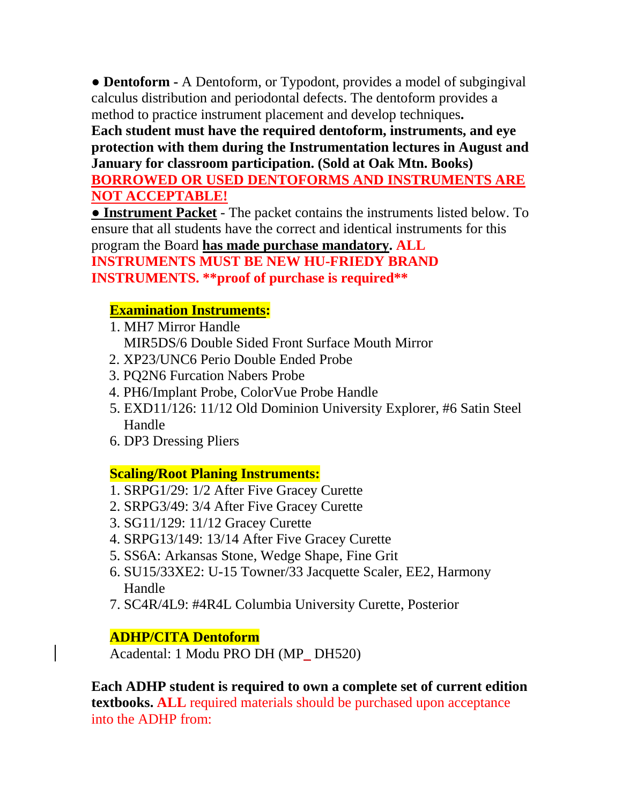**● Dentoform -** A Dentoform, or Typodont, provides a model of subgingival calculus distribution and periodontal defects. The dentoform provides a method to practice instrument placement and develop techniques**.**

**Each student must have the required dentoform, instruments, and eye protection with them during the Instrumentation lectures in August and January for classroom participation. (Sold at Oak Mtn. Books)** 

**BORROWED OR USED DENTOFORMS AND INSTRUMENTS ARE NOT ACCEPTABLE!** 

**● Instrument Packet** - The packet contains the instruments listed below. To ensure that all students have the correct and identical instruments for this program the Board **has made purchase mandatory. ALL** 

**INSTRUMENTS MUST BE NEW HU-FRIEDY BRAND INSTRUMENTS. \*\*proof of purchase is required\*\***

# **Examination Instruments:**

- 1. MH7 Mirror Handle MIR5DS/6 Double Sided Front Surface Mouth Mirror
- 2. XP23/UNC6 Perio Double Ended Probe
- 3. PQ2N6 Furcation Nabers Probe
- 4. PH6/Implant Probe, ColorVue Probe Handle
- 5. EXD11/126: 11/12 Old Dominion University Explorer, #6 Satin Steel Handle
- 6. DP3 Dressing Pliers

# **Scaling/Root Planing Instruments:**

- 1. SRPG1/29: 1/2 After Five Gracey Curette
- 2. SRPG3/49: 3/4 After Five Gracey Curette
- 3. SG11/129: 11/12 Gracey Curette
- 4. SRPG13/149: 13/14 After Five Gracey Curette
- 5. SS6A: Arkansas Stone, Wedge Shape, Fine Grit
- 6. SU15/33XE2: U-15 Towner/33 Jacquette Scaler, EE2, Harmony Handle
- 7. SC4R/4L9: #4R4L Columbia University Curette, Posterior

# **ADHP/CITA Dentoform**

Acadental: 1 Modu PRO DH (MP\_ DH520)

**Each ADHP student is required to own a complete set of current edition textbooks. ALL** required materials should be purchased upon acceptance into the ADHP from: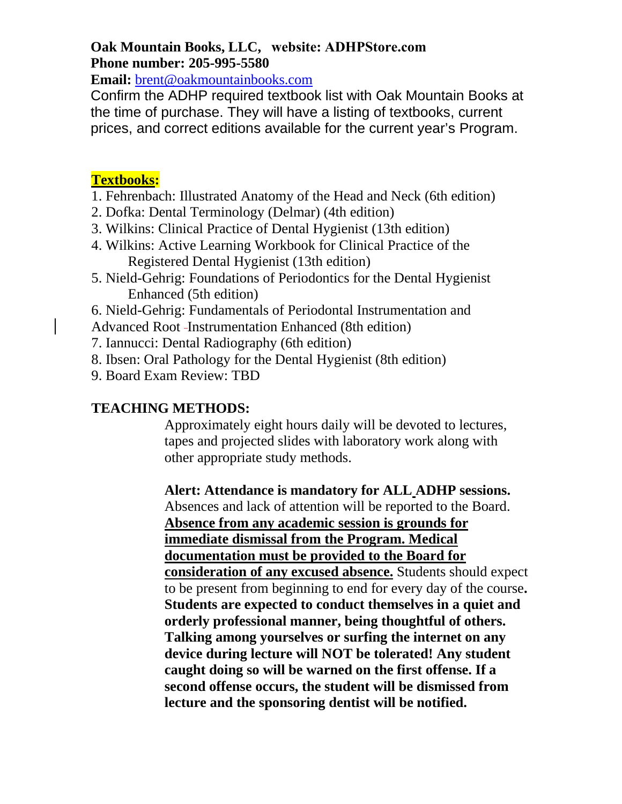#### **Oak Mountain Books, LLC, website: ADHPStore.com Phone number: 205-995-5580**

**Email:** brent@oakmountainbooks.com

Confirm the ADHP required textbook list with [Oak Mountain Books](mailto:brent@oakmountainbooks.com) at the time of purchase. They will have a listing of textbooks, current prices, and correct editions available for the current year's Program.

### **Textbooks:**

- 1. Fehrenbach: Illustrated Anatomy of the Head and Neck (6th edition)
- 2. Dofka: Dental Terminology (Delmar) (4th edition)
- 3. Wilkins: Clinical Practice of Dental Hygienist (13th edition)
- 4. Wilkins: Active Learning Workbook for Clinical Practice of the Registered Dental Hygienist (13th edition)
- 5. Nield-Gehrig: Foundations of Periodontics for the Dental Hygienist Enhanced (5th edition)
- 6. Nield-Gehrig: Fundamentals of Periodontal Instrumentation and

Advanced Root Instrumentation Enhanced (8th edition)

- 7. Iannucci: Dental Radiography (6th edition)
- 8. Ibsen: Oral Pathology for the Dental Hygienist (8th edition)
- 9. Board Exam Review: TBD

### **TEACHING METHODS:**

Approximately eight hours daily will be devoted to lectures, tapes and projected slides with laboratory work along with other appropriate study methods.

**Alert: Attendance is mandatory for ALL ADHP sessions.**  Absences and lack of attention will be reported to the Board. **Absence from any academic session is grounds for immediate dismissal from the Program. Medical documentation must be provided to the Board for consideration of any excused absence.** Students should expect to be present from beginning to end for every day of the course**. Students are expected to conduct themselves in a quiet and orderly professional manner, being thoughtful of others. Talking among yourselves or surfing the internet on any device during lecture will NOT be tolerated! Any student caught doing so will be warned on the first offense. If a second offense occurs, the student will be dismissed from lecture and the sponsoring dentist will be notified.**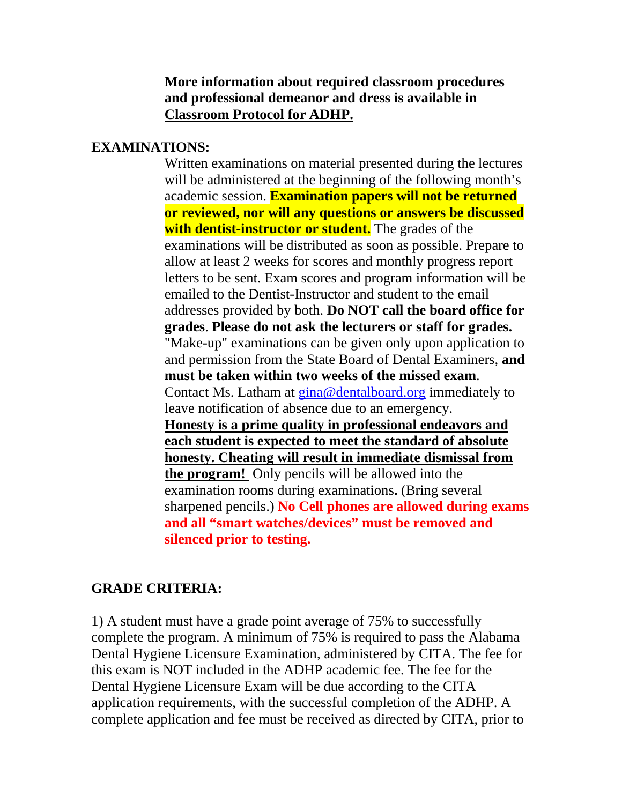#### **More information about required classroom procedures and professional demeanor and dress is available in Classroom Protocol for ADHP.**

### **EXAMINATIONS:**

Written examinations on material presented during the lectures will be administered at the beginning of the following month's academic session. **Examination papers will not be returned or reviewed, nor will any questions or answers be discussed with dentist-instructor or student.** The grades of the examinations will be distributed as soon as possible. Prepare to allow at least 2 weeks for scores and monthly progress report letters to be sent. Exam scores and program information will be emailed to the Dentist-Instructor and student to the email addresses provided by both. **Do NOT call the board office for grades**. **Please do not ask the lecturers or staff for grades.** "Make-up" examinations can be given only upon application to and permission from the State Board of Dental Examiners, **and must be taken within two weeks of the missed exam**. Contact Ms. Latham at [gina@dentalboard.org](mailto:gina@dentalboard.org) immediately to leave notification of absence due to an emergency. **Honesty is a prime quality in professional endeavors and each student is expected to meet the standard of absolute honesty. Cheating will result in immediate dismissal from the program!** Only pencils will be allowed into the examination rooms during examinations**.** (Bring several sharpened pencils.) **No Cell phones are allowed during exams and all "smart watches/devices" must be removed and silenced prior to testing.**

# **GRADE CRITERIA:**

1) A student must have a grade point average of 75% to successfully complete the program. A minimum of 75% is required to pass the Alabama Dental Hygiene Licensure Examination, administered by CITA. The fee for this exam is NOT included in the ADHP academic fee. The fee for the Dental Hygiene Licensure Exam will be due according to the CITA application requirements, with the successful completion of the ADHP. A complete application and fee must be received as directed by CITA, prior to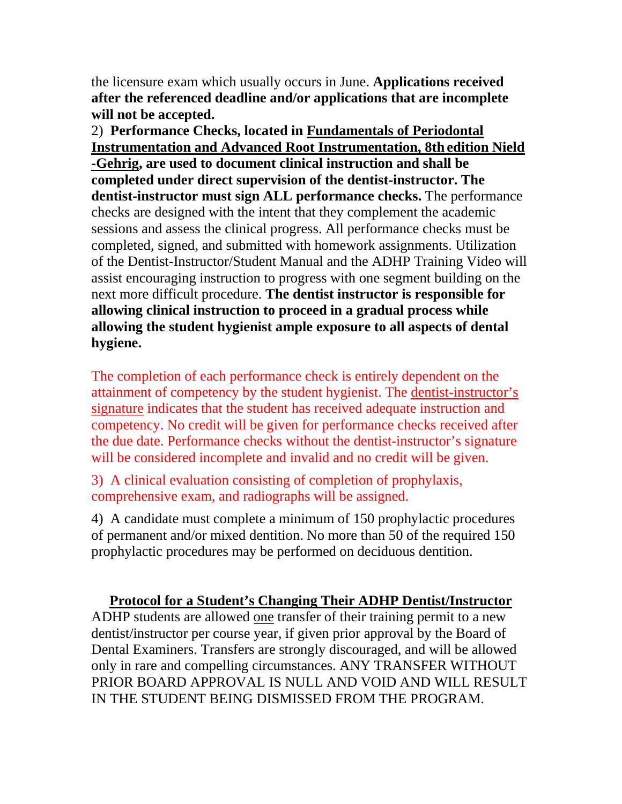the licensure exam which usually occurs in June. **Applications received after the referenced deadline and/or applications that are incomplete will not be accepted.**

2) **Performance Checks, located in Fundamentals of Periodontal Instrumentation and Advanced Root Instrumentation, 8th edition Nield -Gehrig, are used to document clinical instruction and shall be completed under direct supervision of the dentist-instructor. The dentist-instructor must sign ALL performance checks.** The performance checks are designed with the intent that they complement the academic sessions and assess the clinical progress. All performance checks must be completed, signed, and submitted with homework assignments. Utilization of the Dentist-Instructor/Student Manual and the ADHP Training Video will assist encouraging instruction to progress with one segment building on the next more difficult procedure. **The dentist instructor is responsible for allowing clinical instruction to proceed in a gradual process while allowing the student hygienist ample exposure to all aspects of dental hygiene.** 

The completion of each performance check is entirely dependent on the attainment of competency by the student hygienist. The dentist-instructor's signature indicates that the student has received adequate instruction and competency. No credit will be given for performance checks received after the due date. Performance checks without the dentist-instructor's signature will be considered incomplete and invalid and no credit will be given.

3) A clinical evaluation consisting of completion of prophylaxis, comprehensive exam, and radiographs will be assigned.

4) A candidate must complete a minimum of 150 prophylactic procedures of permanent and/or mixed dentition. No more than 50 of the required 150 prophylactic procedures may be performed on deciduous dentition.

#### **Protocol for a Student's Changing Their ADHP Dentist/Instructor**

ADHP students are allowed one transfer of their training permit to a new dentist/instructor per course year, if given prior approval by the Board of Dental Examiners. Transfers are strongly discouraged, and will be allowed only in rare and compelling circumstances. ANY TRANSFER WITHOUT PRIOR BOARD APPROVAL IS NULL AND VOID AND WILL RESULT IN THE STUDENT BEING DISMISSED FROM THE PROGRAM.